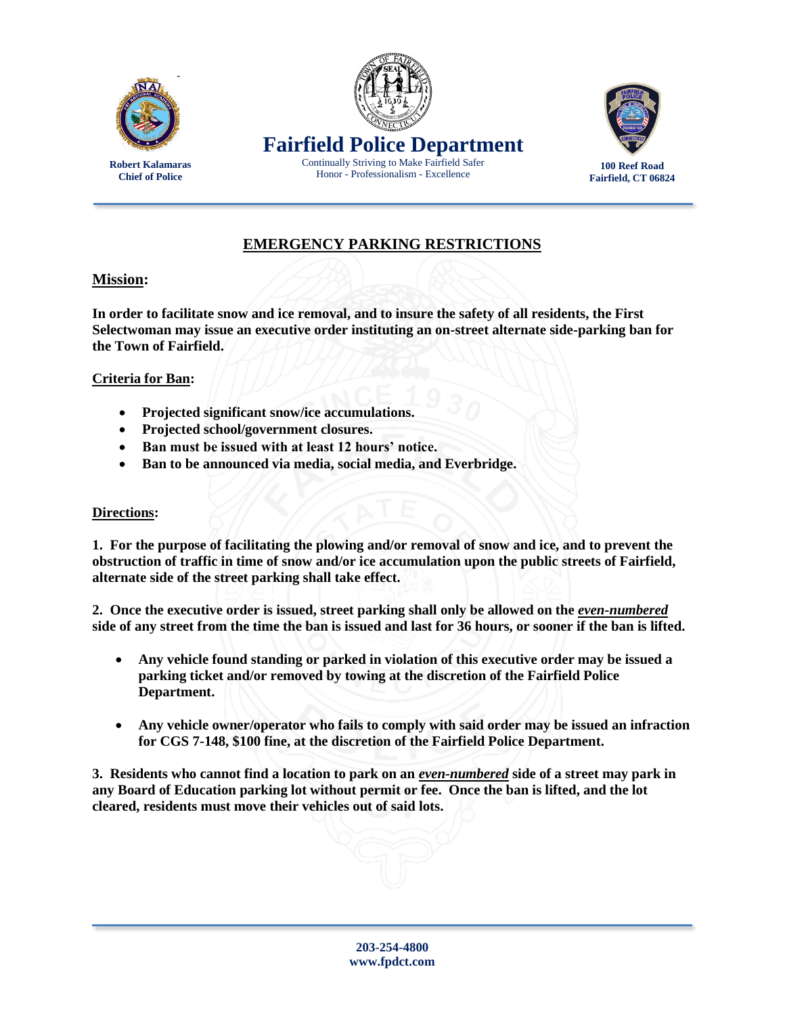

**Robert Kalamaras Chief of Police**





**100 Reef Road Fairfield, CT 06824**

## **EMERGENCY PARKING RESTRICTIONS**

## **Mission:**

**In order to facilitate snow and ice removal, and to insure the safety of all residents, the First Selectwoman may issue an executive order instituting an on-street alternate side-parking ban for the Town of Fairfield.** 

## **Criteria for Ban:**

- **Projected significant snow/ice accumulations.**
- **Projected school/government closures.**
- **Ban must be issued with at least 12 hours' notice.**
- **Ban to be announced via media, social media, and Everbridge.**

## **Directions:**

**1. For the purpose of facilitating the plowing and/or removal of snow and ice, and to prevent the obstruction of traffic in time of snow and/or ice accumulation upon the public streets of Fairfield, alternate side of the street parking shall take effect.**

**2. Once the executive order is issued, street parking shall only be allowed on the** *even-numbered* **side of any street from the time the ban is issued and last for 36 hours, or sooner if the ban is lifted.** 

- **Any vehicle found standing or parked in violation of this executive order may be issued a parking ticket and/or removed by towing at the discretion of the Fairfield Police Department.**
- **Any vehicle owner/operator who fails to comply with said order may be issued an infraction for CGS 7-148, \$100 fine, at the discretion of the Fairfield Police Department.**

**3. Residents who cannot find a location to park on an** *even-numbered* **side of a street may park in any Board of Education parking lot without permit or fee. Once the ban is lifted, and the lot cleared, residents must move their vehicles out of said lots.**

**203-254-4800 www.fpdct.com**